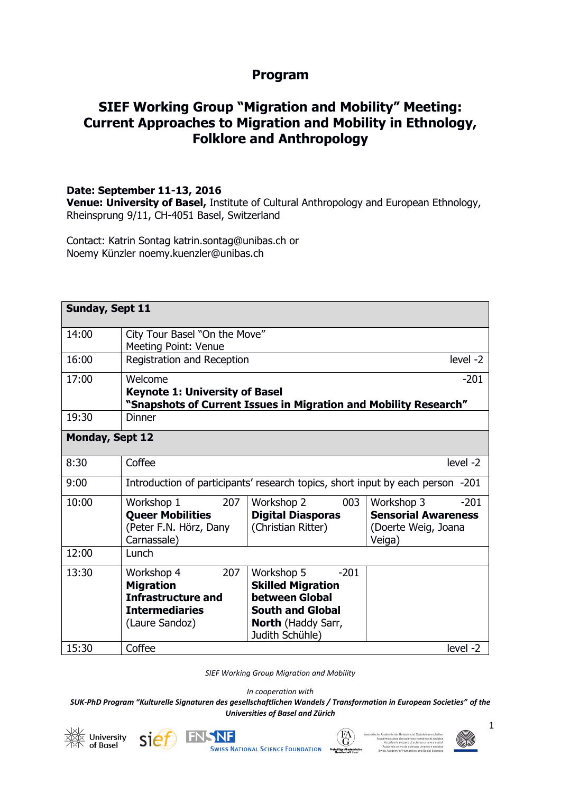## **Program**

# **SIEF Working Group "Migration and Mobility" Meeting: Current Approaches to Migration and Mobility in Ethnology, Folklore and Anthropology**

#### **Date: September 11-13, 2016**

**Venue: University of Basel,** Institute of Cultural Anthropology and European Ethnology, Rheinsprung 9/11, CH-4051 Basel, Switzerland

Contact: Katrin Sontag katrin.sontag@unibas.ch or Noemy Künzler noemy.kuenzler@unibas.ch

| <b>Sunday, Sept 11</b> |                                                                                                                      |                                                                                                                                               |                                                                                     |  |
|------------------------|----------------------------------------------------------------------------------------------------------------------|-----------------------------------------------------------------------------------------------------------------------------------------------|-------------------------------------------------------------------------------------|--|
| 14:00                  | City Tour Basel "On the Move"<br>Meeting Point: Venue                                                                |                                                                                                                                               |                                                                                     |  |
| 16:00                  | Registration and Reception                                                                                           |                                                                                                                                               | level -2                                                                            |  |
| 17:00                  | Welcome<br><b>Keynote 1: University of Basel</b><br>"Snapshots of Current Issues in Migration and Mobility Research" |                                                                                                                                               | $-201$                                                                              |  |
| 19:30                  | <b>Dinner</b>                                                                                                        |                                                                                                                                               |                                                                                     |  |
| <b>Monday, Sept 12</b> |                                                                                                                      |                                                                                                                                               |                                                                                     |  |
| 8:30                   | Coffee                                                                                                               |                                                                                                                                               | level -2                                                                            |  |
| 9:00                   | Introduction of participants' research topics, short input by each person -201                                       |                                                                                                                                               |                                                                                     |  |
| 10:00                  | 207<br>Workshop 1<br><b>Queer Mobilities</b><br>(Peter F.N. Hörz, Dany<br>Carnassale)                                | 003<br>Workshop 2<br><b>Digital Diasporas</b><br>(Christian Ritter)                                                                           | Workshop 3<br>$-201$<br><b>Sensorial Awareness</b><br>(Doerte Weig, Joana<br>Veiga) |  |
| 12:00                  | Lunch                                                                                                                |                                                                                                                                               |                                                                                     |  |
| 13:30                  | 207<br>Workshop 4<br><b>Migration</b><br><b>Infrastructure and</b><br><b>Intermediaries</b><br>(Laure Sandoz)        | Workshop 5<br>$-201$<br><b>Skilled Migration</b><br>between Global<br><b>South and Global</b><br><b>North (Haddy Sarr,</b><br>Judith Schühle) |                                                                                     |  |
| 15:30                  | Coffee                                                                                                               |                                                                                                                                               | level -2                                                                            |  |

*SIEF Working Group Migration and Mobility*

*In cooperation with* 

*SUK-PhD Program "Kulturelle Signaturen des gesellschaftlichen Wandels / Transformation in European Societies" of the Universities of Basel and Zürich*





**SWISS NATIONAL SCIENCE FOUNDATION** 



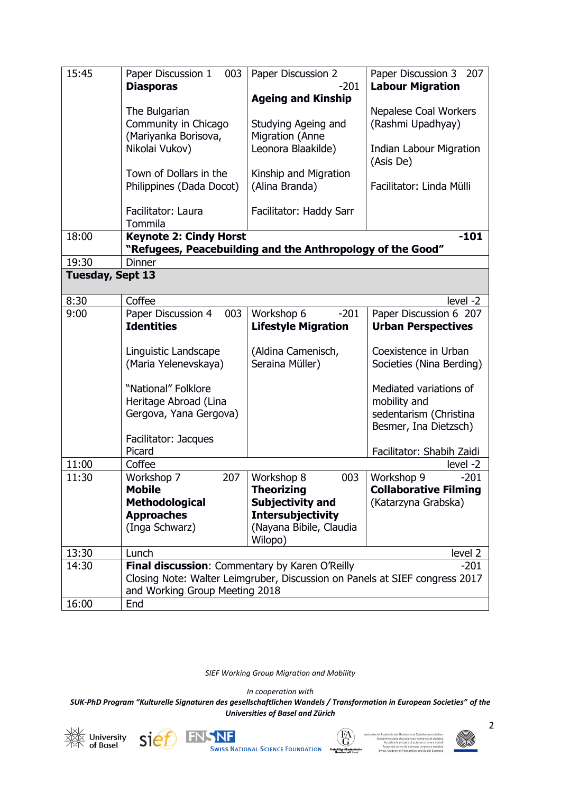| 15:45            | Paper Discussion 1<br>003<br><b>Diasporas</b><br>The Bulgarian<br>Community in Chicago<br>(Mariyanka Borisova,<br>Nikolai Vukov)<br>Town of Dollars in the<br>Philippines (Dada Docot)<br>Facilitator: Laura | Paper Discussion 2<br>$-201$<br><b>Ageing and Kinship</b><br>Studying Ageing and<br>Migration (Anne<br>Leonora Blaakilde)<br>Kinship and Migration<br>(Alina Branda)<br>Facilitator: Haddy Sarr | Paper Discussion 3<br>207<br><b>Labour Migration</b><br>Nepalese Coal Workers<br>(Rashmi Upadhyay)<br><b>Indian Labour Migration</b><br>(Asis De)<br>Facilitator: Linda Mülli |
|------------------|--------------------------------------------------------------------------------------------------------------------------------------------------------------------------------------------------------------|-------------------------------------------------------------------------------------------------------------------------------------------------------------------------------------------------|-------------------------------------------------------------------------------------------------------------------------------------------------------------------------------|
| 18:00            | Tommila<br><b>Keynote 2: Cindy Horst</b><br>"Refugees, Peacebuilding and the Anthropology of the Good"                                                                                                       |                                                                                                                                                                                                 | $-101$                                                                                                                                                                        |
| 19:30            | <b>Dinner</b>                                                                                                                                                                                                |                                                                                                                                                                                                 |                                                                                                                                                                               |
| Tuesday, Sept 13 |                                                                                                                                                                                                              |                                                                                                                                                                                                 |                                                                                                                                                                               |
| 8:30             | Coffee                                                                                                                                                                                                       |                                                                                                                                                                                                 | level -2                                                                                                                                                                      |
| 9:00             | Paper Discussion 4<br>003                                                                                                                                                                                    | $-201$<br>Workshop 6                                                                                                                                                                            | Paper Discussion 6 207                                                                                                                                                        |
|                  | <b>Identities</b>                                                                                                                                                                                            | <b>Lifestyle Migration</b>                                                                                                                                                                      | <b>Urban Perspectives</b>                                                                                                                                                     |
|                  | Linguistic Landscape<br>(Maria Yelenevskaya)<br>"National" Folklore<br>Heritage Abroad (Lina<br>Gergova, Yana Gergova)<br>Facilitator: Jacques<br>Picard                                                     | (Aldina Camenisch,<br>Seraina Müller)                                                                                                                                                           | Coexistence in Urban<br>Societies (Nina Berding)<br>Mediated variations of<br>mobility and<br>sedentarism (Christina<br>Besmer, Ina Dietzsch)<br>Facilitator: Shabih Zaidi    |
| 11:00            | Coffee                                                                                                                                                                                                       |                                                                                                                                                                                                 | level -2                                                                                                                                                                      |
| 11:30            | 207<br>Workshop 7<br>Mobile<br><b>Methodological</b><br><b>Approaches</b><br>(Inga Schwarz)                                                                                                                  | Workshop 8<br>003<br>Theorizing<br><b>Subjectivity and</b><br><b>Intersubjectivity</b><br>(Nayana Bibile, Claudia<br>Wilopo)                                                                    | Workshop 9<br>$-201$<br><b>Collaborative Filming</b><br>(Katarzyna Grabska)                                                                                                   |
| 13:30            | Lunch                                                                                                                                                                                                        |                                                                                                                                                                                                 | level 2                                                                                                                                                                       |
| 14:30            | Final discussion: Commentary by Karen O'Reilly<br>$-201$<br>Closing Note: Walter Leimgruber, Discussion on Panels at SIEF congress 2017<br>and Working Group Meeting 2018                                    |                                                                                                                                                                                                 |                                                                                                                                                                               |
| 16:00            | End                                                                                                                                                                                                          |                                                                                                                                                                                                 |                                                                                                                                                                               |

*SIEF Working Group Migration and Mobility*

*In cooperation with* 







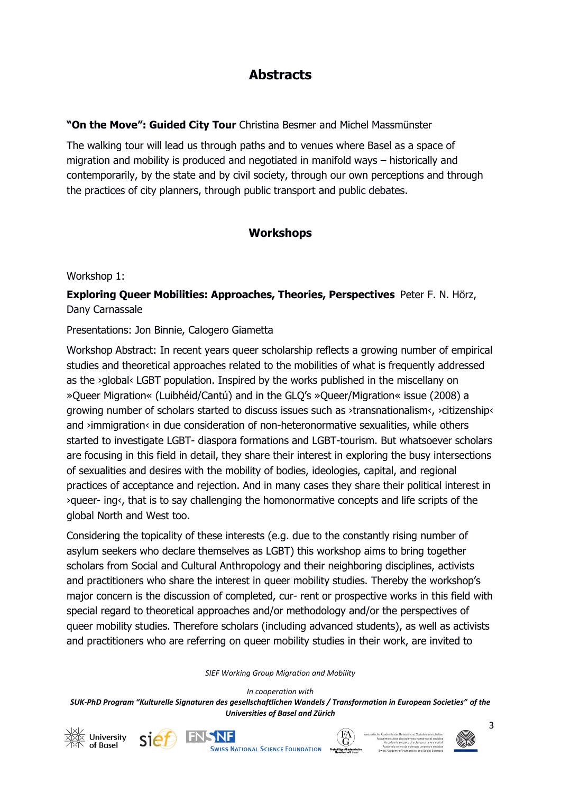# **Abstracts**

### **"On the Move": Guided City Tour** Christina Besmer and Michel Massmünster

The walking tour will lead us through paths and to venues where Basel as a space of migration and mobility is produced and negotiated in manifold ways – historically and contemporarily, by the state and by civil society, through our own perceptions and through the practices of city planners, through public transport and public debates.

## **Workshops**

Workshop 1:

**Exploring Queer Mobilities: Approaches, Theories, Perspectives** Peter F. N. Hörz, Dany Carnassale

#### Presentations: Jon Binnie, Calogero Giametta

Workshop Abstract: In recent years queer scholarship reflects a growing number of empirical studies and theoretical approaches related to the mobilities of what is frequently addressed as the >qlobal< LGBT population. Inspired by the works published in the miscellany on »Queer Migration« (Luibhéid/Cantú) and in the GLQ's »Queer/Migration« issue (2008) a growing number of scholars started to discuss issues such as ›transnationalism‹, ›citizenship‹ and >immigration< in due consideration of non-heteronormative sexualities, while others started to investigate LGBT- diaspora formations and LGBT-tourism. But whatsoever scholars are focusing in this field in detail, they share their interest in exploring the busy intersections of sexualities and desires with the mobility of bodies, ideologies, capital, and regional practices of acceptance and rejection. And in many cases they share their political interest in ›queer- ing‹, that is to say challenging the homonormative concepts and life scripts of the global North and West too.

Considering the topicality of these interests (e.g. due to the constantly rising number of asylum seekers who declare themselves as LGBT) this workshop aims to bring together scholars from Social and Cultural Anthropology and their neighboring disciplines, activists and practitioners who share the interest in queer mobility studies. Thereby the workshop's major concern is the discussion of completed, cur- rent or prospective works in this field with special regard to theoretical approaches and/or methodology and/or the perspectives of queer mobility studies. Therefore scholars (including advanced students), as well as activists and practitioners who are referring on queer mobility studies in their work, are invited to

*SIEF Working Group Migration and Mobility*









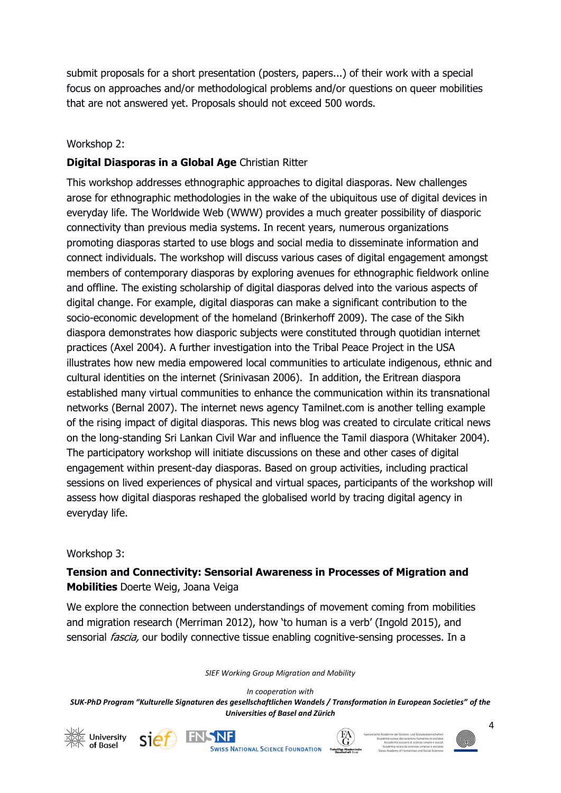submit proposals for a short presentation (posters, papers...) of their work with a special focus on approaches and/or methodological problems and/or questions on queer mobilities that are not answered yet. Proposals should not exceed 500 words.

#### Workshop 2:

### **Digital Diasporas in a Global Age** Christian Ritter

This workshop addresses ethnographic approaches to digital diasporas. New challenges arose for ethnographic methodologies in the wake of the ubiquitous use of digital devices in everyday life. The Worldwide Web (WWW) provides a much greater possibility of diasporic connectivity than previous media systems. In recent years, numerous organizations promoting diasporas started to use blogs and social media to disseminate information and connect individuals. The workshop will discuss various cases of digital engagement amongst members of contemporary diasporas by exploring avenues for ethnographic fieldwork online and offline. The existing scholarship of digital diasporas delved into the various aspects of digital change. For example, digital diasporas can make a significant contribution to the socio-economic development of the homeland (Brinkerhoff 2009). The case of the Sikh diaspora demonstrates how diasporic subjects were constituted through quotidian internet practices (Axel 2004). A further investigation into the Tribal Peace Project in the USA illustrates how new media empowered local communities to articulate indigenous, ethnic and cultural identities on the internet (Srinivasan 2006). In addition, the Eritrean diaspora established many virtual communities to enhance the communication within its transnational networks (Bernal 2007). The internet news agency Tamilnet.com is another telling example of the rising impact of digital diasporas. This news blog was created to circulate critical news on the long-standing Sri Lankan Civil War and influence the Tamil diaspora (Whitaker 2004). The participatory workshop will initiate discussions on these and other cases of digital engagement within present-day diasporas. Based on group activities, including practical sessions on lived experiences of physical and virtual spaces, participants of the workshop will assess how digital diasporas reshaped the globalised world by tracing digital agency in everyday life.

#### Workshop 3:

### **Tension and Connectivity: Sensorial Awareness in Processes of Migration and Mobilities** Doerte Weig, Joana Veiga

We explore the connection between understandings of movement coming from mobilities and migration research (Merriman 2012), how 'to human is a verb' (Ingold 2015), and sensorial *fascia*, our bodily connective tissue enabling cognitive-sensing processes. In a

*SIEF Working Group Migration and Mobility*

*In cooperation with* 









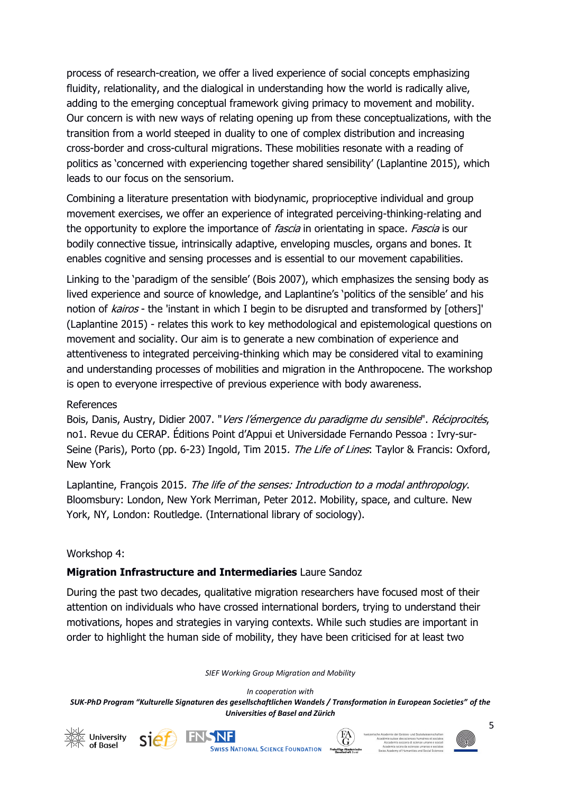process of research-creation, we offer a lived experience of social concepts emphasizing fluidity, relationality, and the dialogical in understanding how the world is radically alive, adding to the emerging conceptual framework giving primacy to movement and mobility. Our concern is with new ways of relating opening up from these conceptualizations, with the transition from a world steeped in duality to one of complex distribution and increasing cross-border and cross-cultural migrations. These mobilities resonate with a reading of politics as 'concerned with experiencing together shared sensibility' (Laplantine 2015), which leads to our focus on the sensorium.

Combining a literature presentation with biodynamic, proprioceptive individual and group movement exercises, we offer an experience of integrated perceiving-thinking-relating and the opportunity to explore the importance of *fascia* in orientating in space. *Fascia* is our bodily connective tissue, intrinsically adaptive, enveloping muscles, organs and bones. It enables cognitive and sensing processes and is essential to our movement capabilities.

Linking to the 'paradigm of the sensible' (Bois 2007), which emphasizes the sensing body as lived experience and source of knowledge, and Laplantine's 'politics of the sensible' and his notion of kairos - the 'instant in which I begin to be disrupted and transformed by [others]' (Laplantine 2015) - relates this work to key methodological and epistemological questions on movement and sociality. Our aim is to generate a new combination of experience and attentiveness to integrated perceiving-thinking which may be considered vital to examining and understanding processes of mobilities and migration in the Anthropocene. The workshop is open to everyone irrespective of previous experience with body awareness.

#### References

Bois, Danis, Austry, Didier 2007. "Vers l'émergence du paradigme du sensible". Réciprocités, no1. Revue du CERAP. Éditions Point d'Appui et Universidade Fernando Pessoa : Ivry-sur-Seine (Paris), Porto (pp. 6-23) Ingold, Tim 2015. The Life of Lines: Taylor & Francis: Oxford, New York

Laplantine, François 2015. The life of the senses: Introduction to a modal anthropology. Bloomsbury: London, New York Merriman, Peter 2012. Mobility, space, and culture. New York, NY, London: Routledge. (International library of sociology).

#### Workshop 4:

#### **Migration Infrastructure and Intermediaries** Laure Sandoz

During the past two decades, qualitative migration researchers have focused most of their attention on individuals who have crossed international borders, trying to understand their motivations, hopes and strategies in varying contexts. While such studies are important in order to highlight the human side of mobility, they have been criticised for at least two

*SIEF Working Group Migration and Mobility*

*In cooperation with* 







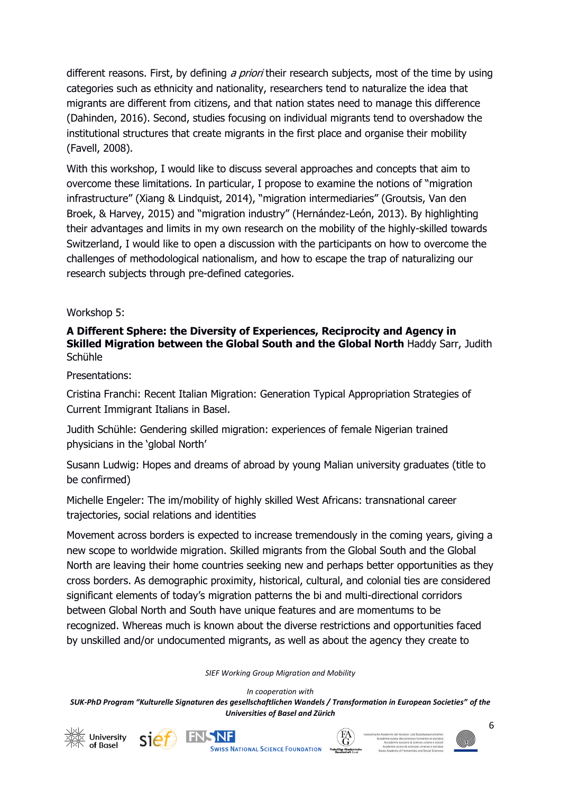different reasons. First, by defining a priori their research subjects, most of the time by using categories such as ethnicity and nationality, researchers tend to naturalize the idea that migrants are different from citizens, and that nation states need to manage this difference (Dahinden, 2016). Second, studies focusing on individual migrants tend to overshadow the institutional structures that create migrants in the first place and organise their mobility (Favell, 2008).

With this workshop, I would like to discuss several approaches and concepts that aim to overcome these limitations. In particular, I propose to examine the notions of "migration infrastructure" (Xiang & Lindquist, 2014), "migration intermediaries" (Groutsis, Van den Broek, & Harvey, 2015) and "migration industry" (Hernández-León, 2013). By highlighting their advantages and limits in my own research on the mobility of the highly-skilled towards Switzerland, I would like to open a discussion with the participants on how to overcome the challenges of methodological nationalism, and how to escape the trap of naturalizing our research subjects through pre-defined categories.

#### Workshop 5:

#### **A Different Sphere: the Diversity of Experiences, Reciprocity and Agency in Skilled Migration between the Global South and the Global North** Haddy Sarr, Judith Schühle

Presentations:

Cristina Franchi: Recent Italian Migration: Generation Typical Appropriation Strategies of Current Immigrant Italians in Basel.

Judith Schühle: Gendering skilled migration: experiences of female Nigerian trained physicians in the 'global North'

Susann Ludwig: Hopes and dreams of abroad by young Malian university graduates (title to be confirmed)

Michelle Engeler: The im/mobility of highly skilled West Africans: transnational career trajectories, social relations and identities

Movement across borders is expected to increase tremendously in the coming years, giving a new scope to worldwide migration. Skilled migrants from the Global South and the Global North are leaving their home countries seeking new and perhaps better opportunities as they cross borders. As demographic proximity, historical, cultural, and colonial ties are considered significant elements of today's migration patterns the bi and multi-directional corridors between Global North and South have unique features and are momentums to be recognized. Whereas much is known about the diverse restrictions and opportunities faced by unskilled and/or undocumented migrants, as well as about the agency they create to

*SIEF Working Group Migration and Mobility*

*In cooperation with* 







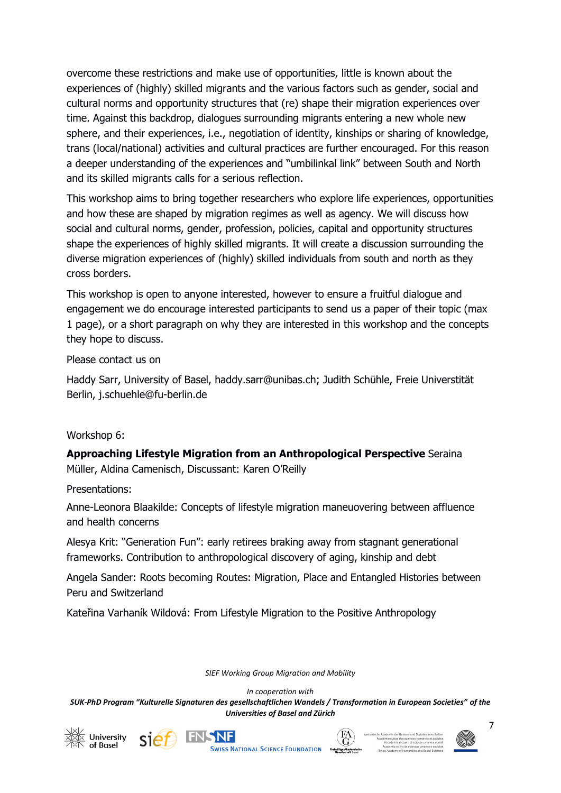overcome these restrictions and make use of opportunities, little is known about the experiences of (highly) skilled migrants and the various factors such as gender, social and cultural norms and opportunity structures that (re) shape their migration experiences over time. Against this backdrop, dialogues surrounding migrants entering a new whole new sphere, and their experiences, i.e., negotiation of identity, kinships or sharing of knowledge, trans (local/national) activities and cultural practices are further encouraged. For this reason a deeper understanding of the experiences and "umbilinkal link" between South and North and its skilled migrants calls for a serious reflection.

This workshop aims to bring together researchers who explore life experiences, opportunities and how these are shaped by migration regimes as well as agency. We will discuss how social and cultural norms, gender, profession, policies, capital and opportunity structures shape the experiences of highly skilled migrants. It will create a discussion surrounding the diverse migration experiences of (highly) skilled individuals from south and north as they cross borders.

This workshop is open to anyone interested, however to ensure a fruitful dialogue and engagement we do encourage interested participants to send us a paper of their topic (max 1 page), or a short paragraph on why they are interested in this workshop and the concepts they hope to discuss.

Please contact us on

Haddy Sarr, University of Basel, [haddy.sarr@unibas.ch;](mailto:haddy.sarr@unibas.ch) Judith Schühle, Freie Universtität Berlin, j.schuehle@fu-berlin.de

#### Workshop 6:

**Approaching Lifestyle Migration from an Anthropological Perspective** Seraina Müller, Aldina Camenisch, Discussant: Karen O'Reilly

Presentations:

Anne-Leonora Blaakilde: Concepts of lifestyle migration maneuovering between affluence and health concerns

Alesya Krit: "Generation Fun": early retirees braking away from stagnant generational frameworks. Contribution to anthropological discovery of aging, kinship and debt

Angela Sander: Roots becoming Routes: Migration, Place and Entangled Histories between Peru and Switzerland

Kateřina Varhaník Wildová: From Lifestyle Migration to the Positive Anthropology

*SIEF Working Group Migration and Mobility*

*In cooperation with* 







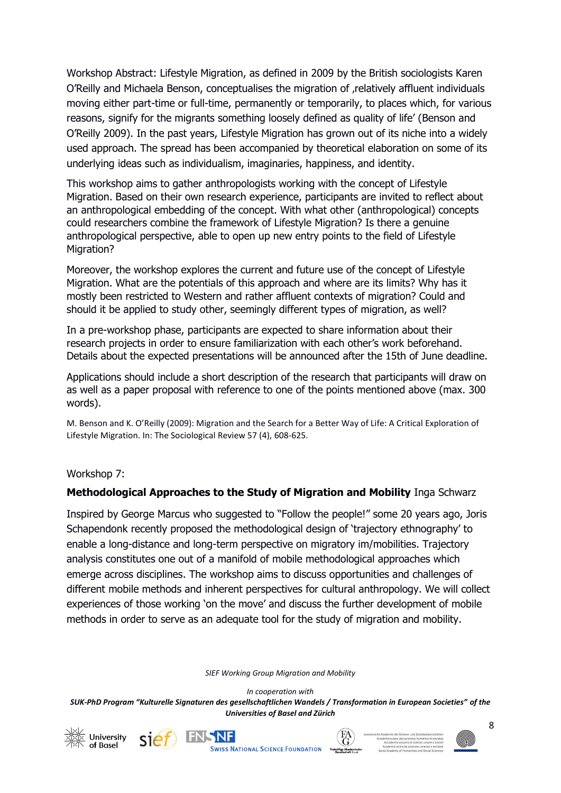Workshop Abstract: Lifestyle Migration, as defined in 2009 by the British sociologists Karen O'Reilly and Michaela Benson, conceptualises the migration of , relatively affluent individuals moving either part-time or full-time, permanently or temporarily, to places which, for various reasons, signify for the migrants something loosely defined as quality of life' (Benson and O'Reilly 2009). In the past years, Lifestyle Migration has grown out of its niche into a widely used approach. The spread has been accompanied by theoretical elaboration on some of its underlying ideas such as individualism, imaginaries, happiness, and identity.

This workshop aims to gather anthropologists working with the concept of Lifestyle Migration. Based on their own research experience, participants are invited to reflect about an anthropological embedding of the concept. With what other (anthropological) concepts could researchers combine the framework of Lifestyle Migration? Is there a genuine anthropological perspective, able to open up new entry points to the field of Lifestyle Migration?

Moreover, the workshop explores the current and future use of the concept of Lifestyle Migration. What are the potentials of this approach and where are its limits? Why has it mostly been restricted to Western and rather affluent contexts of migration? Could and should it be applied to study other, seemingly different types of migration, as well?

In a pre-workshop phase, participants are expected to share information about their research projects in order to ensure familiarization with each other's work beforehand. Details about the expected presentations will be announced after the 15th of June deadline.

Applications should include a short description of the research that participants will draw on as well as a paper proposal with reference to one of the points mentioned above (max. 300 words).

M. Benson and K. O'Reilly (2009): Migration and the Search for a Better Way of Life: A Critical Exploration of Lifestyle Migration. In: The Sociological Review 57 (4), 608-625.

#### Workshop 7:

#### **Methodological Approaches to the Study of Migration and Mobility** Inga Schwarz

Inspired by George Marcus who suggested to "Follow the people!" some 20 years ago, Joris Schapendonk recently proposed the methodological design of 'trajectory ethnography' to enable a long-distance and long-term perspective on migratory im/mobilities. Trajectory analysis constitutes one out of a manifold of mobile methodological approaches which emerge across disciplines. The workshop aims to discuss opportunities and challenges of different mobile methods and inherent perspectives for cultural anthropology. We will collect experiences of those working 'on the move' and discuss the further development of mobile methods in order to serve as an adequate tool for the study of migration and mobility.

*SIEF Working Group Migration and Mobility*

*In cooperation with* 







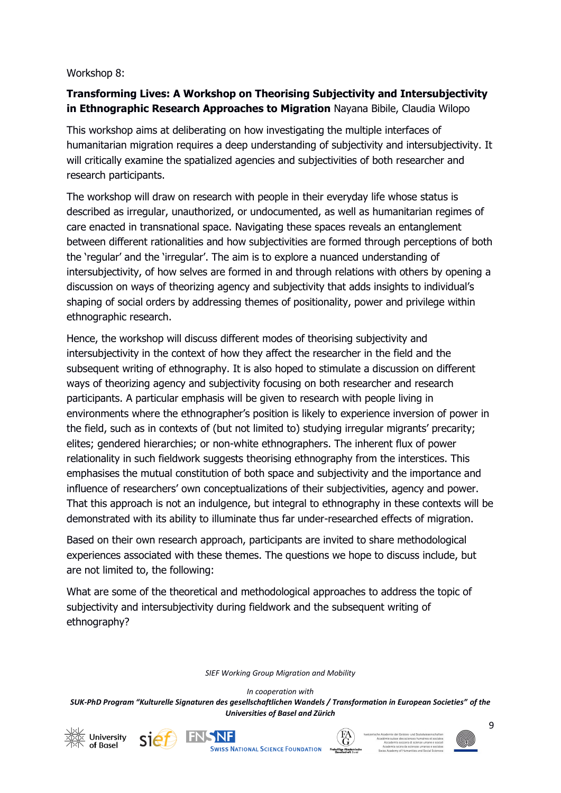#### Workshop 8:

### **Transforming Lives: A Workshop on Theorising Subjectivity and Intersubjectivity in Ethnographic Research Approaches to Migration** Nayana Bibile, Claudia Wilopo

This workshop aims at deliberating on how investigating the multiple interfaces of humanitarian migration requires a deep understanding of subjectivity and intersubjectivity. It will critically examine the spatialized agencies and subjectivities of both researcher and research participants.

The workshop will draw on research with people in their everyday life whose status is described as irregular, unauthorized, or undocumented, as well as humanitarian regimes of care enacted in transnational space. Navigating these spaces reveals an entanglement between different rationalities and how subjectivities are formed through perceptions of both the 'regular' and the 'irregular'. The aim is to explore a nuanced understanding of intersubjectivity, of how selves are formed in and through relations with others by opening a discussion on ways of theorizing agency and subjectivity that adds insights to individual's shaping of social orders by addressing themes of positionality, power and privilege within ethnographic research.

Hence, the workshop will discuss different modes of theorising subjectivity and intersubjectivity in the context of how they affect the researcher in the field and the subsequent writing of ethnography. It is also hoped to stimulate a discussion on different ways of theorizing agency and subjectivity focusing on both researcher and research participants. A particular emphasis will be given to research with people living in environments where the ethnographer's position is likely to experience inversion of power in the field, such as in contexts of (but not limited to) studying irregular migrants' precarity; elites; gendered hierarchies; or non-white ethnographers. The inherent flux of power relationality in such fieldwork suggests theorising ethnography from the interstices. This emphasises the mutual constitution of both space and subjectivity and the importance and influence of researchers' own conceptualizations of their subjectivities, agency and power. That this approach is not an indulgence, but integral to ethnography in these contexts will be demonstrated with its ability to illuminate thus far under-researched effects of migration.

Based on their own research approach, participants are invited to share methodological experiences associated with these themes. The questions we hope to discuss include, but are not limited to, the following:

What are some of the theoretical and methodological approaches to address the topic of subjectivity and intersubjectivity during fieldwork and the subsequent writing of ethnography?

*SIEF Working Group Migration and Mobility*

*In cooperation with* 

*SUK-PhD Program "Kulturelle Signaturen des gesellschaftlichen Wandels / Transformation in European Societies" of the Universities of Basel and Zürich*





**IFNSNF SWISS NATIONAL SCIENCE FOUNDATION** 

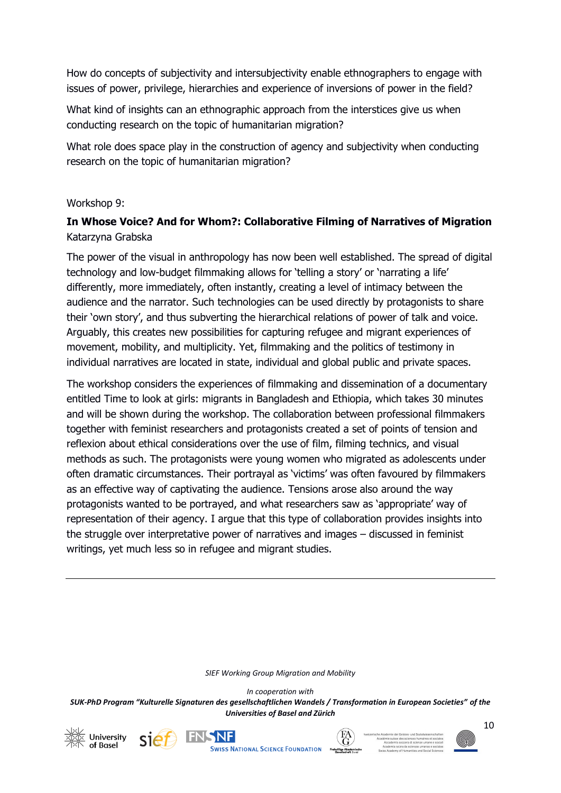How do concepts of subjectivity and intersubjectivity enable ethnographers to engage with issues of power, privilege, hierarchies and experience of inversions of power in the field?

What kind of insights can an ethnographic approach from the interstices give us when conducting research on the topic of humanitarian migration?

What role does space play in the construction of agency and subjectivity when conducting research on the topic of humanitarian migration?

#### Workshop 9:

### **In Whose Voice? And for Whom?: Collaborative Filming of Narratives of Migration** Katarzyna Grabska

The power of the visual in anthropology has now been well established. The spread of digital technology and low-budget filmmaking allows for 'telling a story' or 'narrating a life' differently, more immediately, often instantly, creating a level of intimacy between the audience and the narrator. Such technologies can be used directly by protagonists to share their 'own story', and thus subverting the hierarchical relations of power of talk and voice. Arguably, this creates new possibilities for capturing refugee and migrant experiences of movement, mobility, and multiplicity. Yet, filmmaking and the politics of testimony in individual narratives are located in state, individual and global public and private spaces.

The workshop considers the experiences of filmmaking and dissemination of a documentary entitled Time to look at girls: migrants in Bangladesh and Ethiopia, which takes 30 minutes and will be shown during the workshop. The collaboration between professional filmmakers together with feminist researchers and protagonists created a set of points of tension and reflexion about ethical considerations over the use of film, filming technics, and visual methods as such. The protagonists were young women who migrated as adolescents under often dramatic circumstances. Their portrayal as 'victims' was often favoured by filmmakers as an effective way of captivating the audience. Tensions arose also around the way protagonists wanted to be portrayed, and what researchers saw as 'appropriate' way of representation of their agency. I argue that this type of collaboration provides insights into the struggle over interpretative power of narratives and images – discussed in feminist writings, yet much less so in refugee and migrant studies.

*SIEF Working Group Migration and Mobility*

*In cooperation with* 







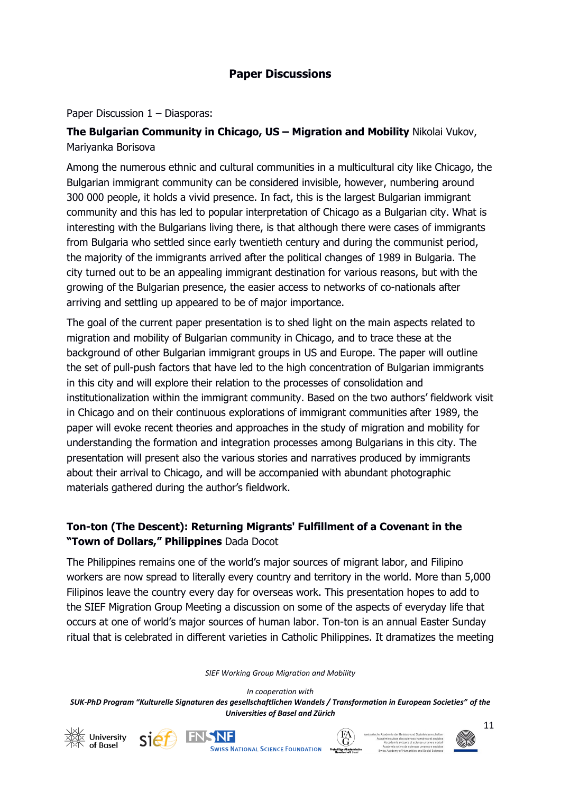### **Paper Discussions**

Paper Discussion 1 – Diasporas:

### **The Bulgarian Community in Chicago, US – Migration and Mobility** Nikolai Vukov, Mariyanka Borisova

Among the numerous ethnic and cultural communities in a multicultural city like Chicago, the Bulgarian immigrant community can be considered invisible, however, numbering around 300 000 people, it holds a vivid presence. In fact, this is the largest Bulgarian immigrant community and this has led to popular interpretation of Chicago as a Bulgarian city. What is interesting with the Bulgarians living there, is that although there were cases of immigrants from Bulgaria who settled since early twentieth century and during the communist period, the majority of the immigrants arrived after the political changes of 1989 in Bulgaria. The city turned out to be an appealing immigrant destination for various reasons, but with the growing of the Bulgarian presence, the easier access to networks of co-nationals after arriving and settling up appeared to be of major importance.

The goal of the current paper presentation is to shed light on the main aspects related to migration and mobility of Bulgarian community in Chicago, and to trace these at the background of other Bulgarian immigrant groups in US and Europe. The paper will outline the set of pull-push factors that have led to the high concentration of Bulgarian immigrants in this city and will explore their relation to the processes of consolidation and institutionalization within the immigrant community. Based on the two authors' fieldwork visit in Chicago and on their continuous explorations of immigrant communities after 1989, the paper will evoke recent theories and approaches in the study of migration and mobility for understanding the formation and integration processes among Bulgarians in this city. The presentation will present also the various stories and narratives produced by immigrants about their arrival to Chicago, and will be accompanied with abundant photographic materials gathered during the author's fieldwork.

### **Ton-ton (The Descent): Returning Migrants' Fulfillment of a Covenant in the "Town of Dollars," Philippines** Dada Docot

The Philippines remains one of the world's major sources of migrant labor, and Filipino workers are now spread to literally every country and territory in the world. More than 5,000 Filipinos leave the country every day for overseas work. This presentation hopes to add to the SIEF Migration Group Meeting a discussion on some of the aspects of everyday life that occurs at one of world's major sources of human labor. Ton-ton is an annual Easter Sunday ritual that is celebrated in different varieties in Catholic Philippines. It dramatizes the meeting

*SIEF Working Group Migration and Mobility*







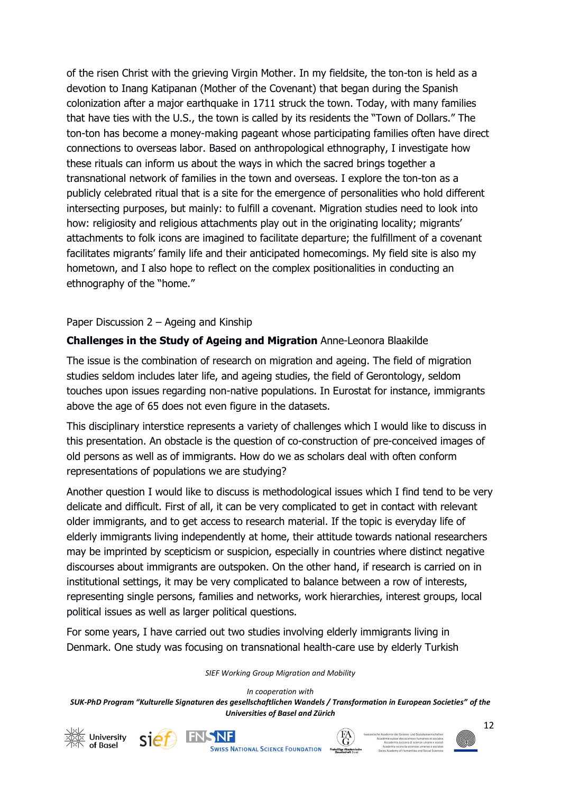of the risen Christ with the grieving Virgin Mother. In my fieldsite, the ton-ton is held as a devotion to Inang Katipanan (Mother of the Covenant) that began during the Spanish colonization after a major earthquake in 1711 struck the town. Today, with many families that have ties with the U.S., the town is called by its residents the "Town of Dollars." The ton-ton has become a money-making pageant whose participating families often have direct connections to overseas labor. Based on anthropological ethnography, I investigate how these rituals can inform us about the ways in which the sacred brings together a transnational network of families in the town and overseas. I explore the ton-ton as a publicly celebrated ritual that is a site for the emergence of personalities who hold different intersecting purposes, but mainly: to fulfill a covenant. Migration studies need to look into how: religiosity and religious attachments play out in the originating locality; migrants' attachments to folk icons are imagined to facilitate departure; the fulfillment of a covenant facilitates migrants' family life and their anticipated homecomings. My field site is also my hometown, and I also hope to reflect on the complex positionalities in conducting an ethnography of the "home."

#### Paper Discussion 2 – Ageing and Kinship

#### **Challenges in the Study of Ageing and Migration** Anne-Leonora Blaakilde

The issue is the combination of research on migration and ageing. The field of migration studies seldom includes later life, and ageing studies, the field of Gerontology, seldom touches upon issues regarding non-native populations. In Eurostat for instance, immigrants above the age of 65 does not even figure in the datasets.

This disciplinary interstice represents a variety of challenges which I would like to discuss in this presentation. An obstacle is the question of co-construction of pre-conceived images of old persons as well as of immigrants. How do we as scholars deal with often conform representations of populations we are studying?

Another question I would like to discuss is methodological issues which I find tend to be very delicate and difficult. First of all, it can be very complicated to get in contact with relevant older immigrants, and to get access to research material. If the topic is everyday life of elderly immigrants living independently at home, their attitude towards national researchers may be imprinted by scepticism or suspicion, especially in countries where distinct negative discourses about immigrants are outspoken. On the other hand, if research is carried on in institutional settings, it may be very complicated to balance between a row of interests, representing single persons, families and networks, work hierarchies, interest groups, local political issues as well as larger political questions.

For some years, I have carried out two studies involving elderly immigrants living in Denmark. One study was focusing on transnational health-care use by elderly Turkish

*SIEF Working Group Migration and Mobility*

*In cooperation with* 







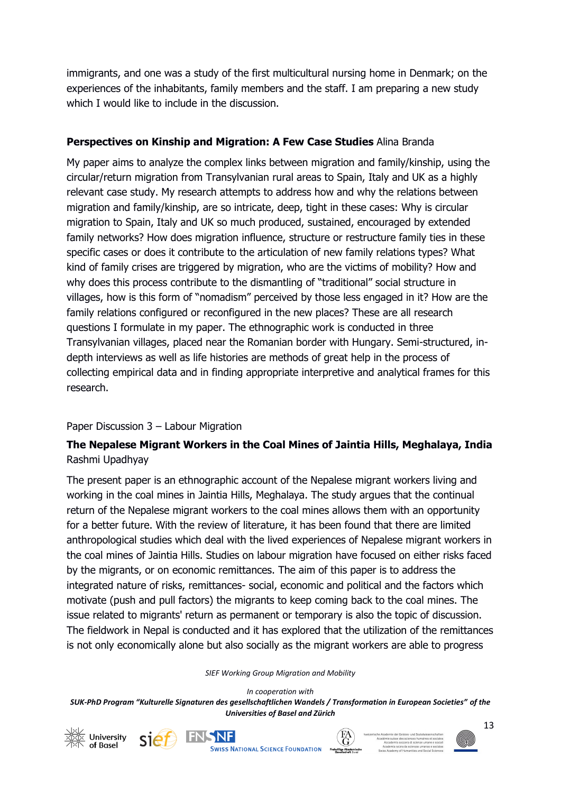immigrants, and one was a study of the first multicultural nursing home in Denmark; on the experiences of the inhabitants, family members and the staff. I am preparing a new study which I would like to include in the discussion.

### **Perspectives on Kinship and Migration: A Few Case Studies** Alina Branda

My paper aims to analyze the complex links between migration and family/kinship, using the circular/return migration from Transylvanian rural areas to Spain, Italy and UK as a highly relevant case study. My research attempts to address how and why the relations between migration and family/kinship, are so intricate, deep, tight in these cases: Why is circular migration to Spain, Italy and UK so much produced, sustained, encouraged by extended family networks? How does migration influence, structure or restructure family ties in these specific cases or does it contribute to the articulation of new family relations types? What kind of family crises are triggered by migration, who are the victims of mobility? How and why does this process contribute to the dismantling of "traditional" social structure in villages, how is this form of "nomadism" perceived by those less engaged in it? How are the family relations configured or reconfigured in the new places? These are all research questions I formulate in my paper. The ethnographic work is conducted in three Transylvanian villages, placed near the Romanian border with Hungary. Semi-structured, indepth interviews as well as life histories are methods of great help in the process of collecting empirical data and in finding appropriate interpretive and analytical frames for this research.

#### Paper Discussion 3 – Labour Migration

### **The Nepalese Migrant Workers in the Coal Mines of Jaintia Hills, Meghalaya, India**  Rashmi Upadhyay

The present paper is an ethnographic account of the Nepalese migrant workers living and working in the coal mines in Jaintia Hills, Meghalaya. The study argues that the continual return of the Nepalese migrant workers to the coal mines allows them with an opportunity for a better future. With the review of literature, it has been found that there are limited anthropological studies which deal with the lived experiences of Nepalese migrant workers in the coal mines of Jaintia Hills. Studies on labour migration have focused on either risks faced by the migrants, or on economic remittances. The aim of this paper is to address the integrated nature of risks, remittances- social, economic and political and the factors which motivate (push and pull factors) the migrants to keep coming back to the coal mines. The issue related to migrants' return as permanent or temporary is also the topic of discussion. The fieldwork in Nepal is conducted and it has explored that the utilization of the remittances is not only economically alone but also socially as the migrant workers are able to progress

#### *SIEF Working Group Migration and Mobility*









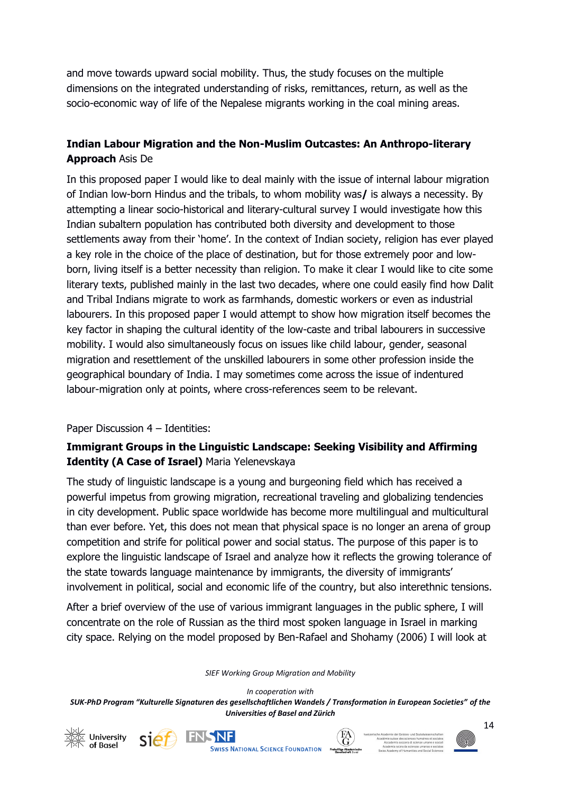and move towards upward social mobility. Thus, the study focuses on the multiple dimensions on the integrated understanding of risks, remittances, return, as well as the socio-economic way of life of the Nepalese migrants working in the coal mining areas.

### **Indian Labour Migration and the Non-Muslim Outcastes: An Anthropo-literary Approach** Asis De

In this proposed paper I would like to deal mainly with the issue of internal labour migration of Indian low-born Hindus and the tribals, to whom mobility was**/** is always a necessity. By attempting a linear socio-historical and literary-cultural survey I would investigate how this Indian subaltern population has contributed both diversity and development to those settlements away from their 'home'. In the context of Indian society, religion has ever played a key role in the choice of the place of destination, but for those extremely poor and lowborn, living itself is a better necessity than religion. To make it clear I would like to cite some literary texts, published mainly in the last two decades, where one could easily find how Dalit and Tribal Indians migrate to work as farmhands, domestic workers or even as industrial labourers. In this proposed paper I would attempt to show how migration itself becomes the key factor in shaping the cultural identity of the low-caste and tribal labourers in successive mobility. I would also simultaneously focus on issues like child labour, gender, seasonal migration and resettlement of the unskilled labourers in some other profession inside the geographical boundary of India. I may sometimes come across the issue of indentured labour-migration only at points, where cross-references seem to be relevant.

#### Paper Discussion 4 – Identities:

### **Immigrant Groups in the Linguistic Landscape: Seeking Visibility and Affirming Identity (A Case of Israel)** Maria Yelenevskaya

The study of linguistic landscape is a young and burgeoning field which has received a powerful impetus from growing migration, recreational traveling and globalizing tendencies in city development. Public space worldwide has become more multilingual and multicultural than ever before. Yet, this does not mean that physical space is no longer an arena of group competition and strife for political power and social status. The purpose of this paper is to explore the linguistic landscape of Israel and analyze how it reflects the growing tolerance of the state towards language maintenance by immigrants, the diversity of immigrants' involvement in political, social and economic life of the country, but also interethnic tensions.

After a brief overview of the use of various immigrant languages in the public sphere, I will concentrate on the role of Russian as the third most spoken language in Israel in marking city space. Relying on the model proposed by Ben-Rafael and Shohamy (2006) I will look at

*SIEF Working Group Migration and Mobility*









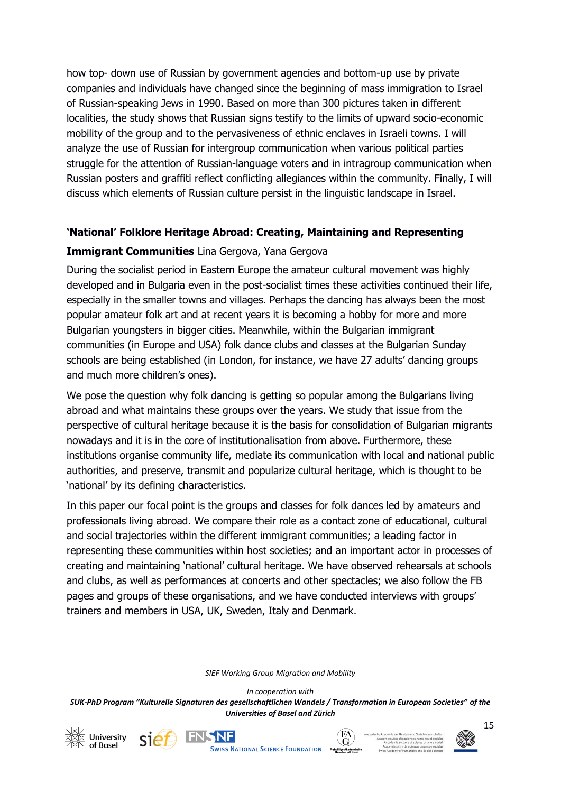how top- down use of Russian by government agencies and bottom-up use by private companies and individuals have changed since the beginning of mass immigration to Israel of Russian-speaking Jews in 1990. Based on more than 300 pictures taken in different localities, the study shows that Russian signs testify to the limits of upward socio-economic mobility of the group and to the pervasiveness of ethnic enclaves in Israeli towns. I will analyze the use of Russian for intergroup communication when various political parties struggle for the attention of Russian-language voters and in intragroup communication when Russian posters and graffiti reflect conflicting allegiances within the community. Finally, I will discuss which elements of Russian culture persist in the linguistic landscape in Israel.

#### **'National' Folklore Heritage Abroad: Creating, Maintaining and Representing**

#### **Immigrant Communities** Lina Gergova, Yana Gergova

During the socialist period in Eastern Europe the amateur cultural movement was highly developed and in Bulgaria even in the post-socialist times these activities continued their life, especially in the smaller towns and villages. Perhaps the dancing has always been the most popular amateur folk art and at recent years it is becoming a hobby for more and more Bulgarian youngsters in bigger cities. Meanwhile, within the Bulgarian immigrant communities (in Europe and USA) folk dance clubs and classes at the Bulgarian Sunday schools are being established (in London, for instance, we have 27 adults' dancing groups and much more children's ones).

We pose the question why folk dancing is getting so popular among the Bulgarians living abroad and what maintains these groups over the years. We study that issue from the perspective of cultural heritage because it is the basis for consolidation of Bulgarian migrants nowadays and it is in the core of institutionalisation from above. Furthermore, these institutions organise community life, mediate its communication with local and national public authorities, and preserve, transmit and popularize cultural heritage, which is thought to be 'national' by its defining characteristics.

In this paper our focal point is the groups and classes for folk dances led by amateurs and professionals living abroad. We compare their role as a contact zone of educational, cultural and social trajectories within the different immigrant communities; a leading factor in representing these communities within host societies; and an important actor in processes of creating and maintaining 'national' cultural heritage. We have observed rehearsals at schools and clubs, as well as performances at concerts and other spectacles; we also follow the FB pages and groups of these organisations, and we have conducted interviews with groups' trainers and members in USA, UK, Sweden, Italy and Denmark.

*SIEF Working Group Migration and Mobility*

*In cooperation with* 







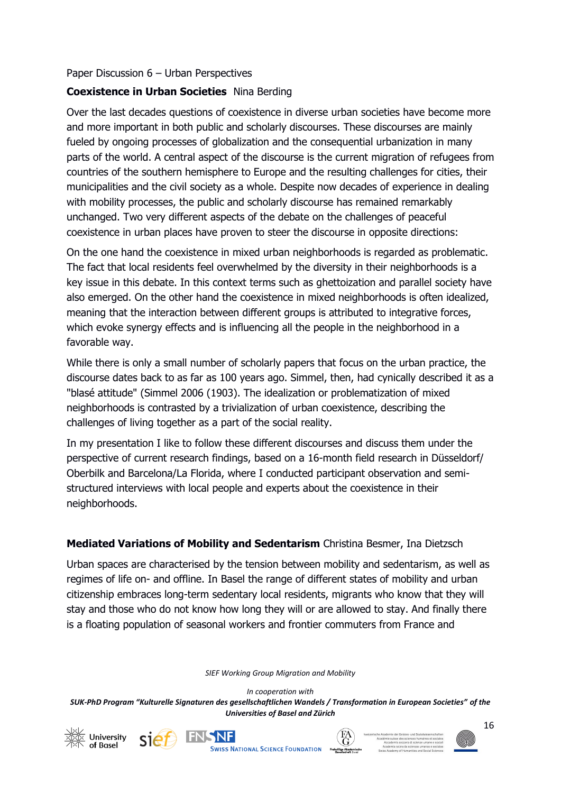#### Paper Discussion 6 – Urban Perspectives

### **Coexistence in Urban Societies** Nina Berding

Over the last decades questions of coexistence in diverse urban societies have become more and more important in both public and scholarly discourses. These discourses are mainly fueled by ongoing processes of globalization and the consequential urbanization in many parts of the world. A central aspect of the discourse is the current migration of refugees from countries of the southern hemisphere to Europe and the resulting challenges for cities, their municipalities and the civil society as a whole. Despite now decades of experience in dealing with mobility processes, the public and scholarly discourse has remained remarkably unchanged. Two very different aspects of the debate on the challenges of peaceful coexistence in urban places have proven to steer the discourse in opposite directions:

On the one hand the coexistence in mixed urban neighborhoods is regarded as problematic. The fact that local residents feel overwhelmed by the diversity in their neighborhoods is a key issue in this debate. In this context terms such as ghettoization and parallel society have also emerged. On the other hand the coexistence in mixed neighborhoods is often idealized, meaning that the interaction between different groups is attributed to integrative forces, which evoke synergy effects and is influencing all the people in the neighborhood in a favorable way.

While there is only a small number of scholarly papers that focus on the urban practice, the discourse dates back to as far as 100 years ago. Simmel, then, had cynically described it as a "blasé attitude" (Simmel 2006 (1903). The idealization or problematization of mixed neighborhoods is contrasted by a trivialization of urban coexistence, describing the challenges of living together as a part of the social reality.

In my presentation I like to follow these different discourses and discuss them under the perspective of current research findings, based on a 16-month field research in Düsseldorf/ Oberbilk and Barcelona/La Florida, where I conducted participant observation and semistructured interviews with local people and experts about the coexistence in their neighborhoods.

#### **Mediated Variations of Mobility and Sedentarism** Christina Besmer, Ina Dietzsch

Urban spaces are characterised by the tension between mobility and sedentarism, as well as regimes of life on- and offline. In Basel the range of different states of mobility and urban citizenship embraces long-term sedentary local residents, migrants who know that they will stay and those who do not know how long they will or are allowed to stay. And finally there is a floating population of seasonal workers and frontier commuters from France and

*SIEF Working Group Migration and Mobility*

*In cooperation with*